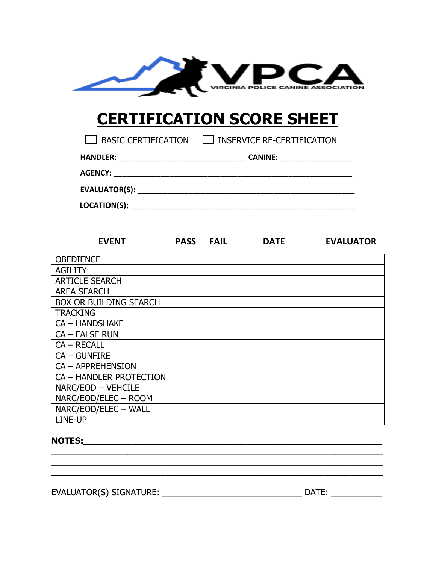

# **CERTIFICATION SCORE SHEET**

| BASIC CERTIFICATION | INSERVICE RE-CERTIFICATION |
|---------------------|----------------------------|
|---------------------|----------------------------|

| <b>CANINE:</b> |
|----------------|
|                |
|                |
|                |
|                |

| <b>EVENT</b>                  | <b>PASS</b> | <b>FAIL</b> | <b>DATE</b> | <b>EVALUATOR</b> |
|-------------------------------|-------------|-------------|-------------|------------------|
| <b>OBEDIENCE</b>              |             |             |             |                  |
| <b>AGILITY</b>                |             |             |             |                  |
| <b>ARTICLE SEARCH</b>         |             |             |             |                  |
| <b>AREA SEARCH</b>            |             |             |             |                  |
| <b>BOX OR BUILDING SEARCH</b> |             |             |             |                  |
| <b>TRACKING</b>               |             |             |             |                  |
| <b>CA - HANDSHAKE</b>         |             |             |             |                  |
| CA - FALSE RUN                |             |             |             |                  |
| $CA - RECAL$                  |             |             |             |                  |
| CA - GUNFIRE                  |             |             |             |                  |
| CA - APPREHENSION             |             |             |             |                  |
| CA - HANDLER PROTECTION       |             |             |             |                  |
| NARC/EOD - VEHCILE            |             |             |             |                  |
| NARC/EOD/ELEC - ROOM          |             |             |             |                  |
| NARC/EOD/ELEC - WALL          |             |             |             |                  |
| LINE-UP                       |             |             |             |                  |

**\_\_\_\_\_\_\_\_\_\_\_\_\_\_\_\_\_\_\_\_\_\_\_\_\_\_\_\_\_\_\_\_\_\_\_\_\_\_\_\_\_\_\_\_\_\_\_\_\_\_\_\_\_\_\_\_\_\_\_\_\_ \_\_\_\_\_\_\_\_\_\_\_\_\_\_\_\_\_\_\_\_\_\_\_\_\_\_\_\_\_\_\_\_\_\_\_\_\_\_\_\_\_\_\_\_\_\_\_\_\_\_\_\_\_\_\_\_\_\_\_\_\_ \_\_\_\_\_\_\_\_\_\_\_\_\_\_\_\_\_\_\_\_\_\_\_\_\_\_\_\_\_\_\_\_\_\_\_\_\_\_\_\_\_\_\_\_\_\_\_\_\_\_\_\_\_\_\_\_\_\_\_\_\_** 

### **NOTES:**

EVALUATOR(S) SIGNATURE: \_\_\_\_\_\_\_\_\_\_\_\_\_\_\_\_\_\_\_\_\_\_\_\_\_\_\_\_\_\_ DATE: \_\_\_\_\_\_\_\_\_\_\_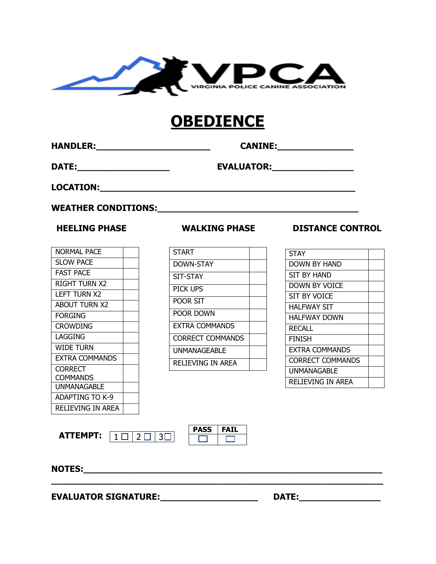

# **OBEDIENCE**

**HANDLER:\_\_\_\_\_\_\_\_\_\_\_\_\_\_\_\_\_\_\_\_\_ CANINE:\_\_\_\_\_\_\_\_\_\_\_\_\_\_** 

**DATE:\_\_\_\_\_\_\_\_\_\_\_\_\_\_\_\_\_ EVALUATOR:\_\_\_\_\_\_\_\_\_\_\_\_\_\_\_**

**LOCATION:\_\_\_\_\_\_\_\_\_\_\_\_\_\_\_\_\_\_\_\_\_\_\_\_\_\_\_\_\_\_\_\_\_\_\_\_\_\_\_\_\_\_\_\_\_\_\_**

**WEATHER CONDITIONS:\_\_\_\_\_\_\_\_\_\_\_\_\_\_\_\_\_\_\_\_\_\_\_\_\_\_\_\_\_\_\_\_\_\_\_\_\_** 

| NORMAL PACE          |  |
|----------------------|--|
| <b>SLOW PACE</b>     |  |
| <b>FAST PACE</b>     |  |
| RIGHT TURN X2        |  |
| LEFT TURN X2         |  |
| <b>ABOUT TURN X2</b> |  |
| FORGING              |  |
| <b>CROWDING</b>      |  |
| LAGGING              |  |
| WIDE TURN            |  |
| EXTRA COMMANDS       |  |
| CORRECT              |  |
| COMMANDS             |  |
| UNMANAGABLE          |  |
| ADAPTING TO K-9      |  |
| RELIEVING IN AREA    |  |
|                      |  |

| <b>START</b>            |  |
|-------------------------|--|
| DOWN-STAY               |  |
| SIT-STAY                |  |
| PICK UPS                |  |
| poor sit                |  |
| Poor Down               |  |
| <b>FXTRA COMMANDS</b>   |  |
| <b>CORRECT COMMANDS</b> |  |
| UNMANAGEABLE            |  |
| RELIEVING IN AREA       |  |

 **HEELING PHASE WALKING PHASE DISTANCE CONTROL**

| <b>STAY</b>             |  |
|-------------------------|--|
| <b>DOWN BY HAND</b>     |  |
| SIT BY HAND             |  |
| <b>DOWN BY VOICE</b>    |  |
| SIT BY VOICE            |  |
| HALFWAY SIT             |  |
| HALFWAY DOWN            |  |
| <b>RECALL</b>           |  |
| FINISH                  |  |
| <b>EXTRA COMMANDS</b>   |  |
| <b>CORRECT COMMANDS</b> |  |
| UNMANAGABLE             |  |
| RELIEVING IN AREA       |  |

 **ATTEMPT: PASS FAIL** 1 □ | 2 □ | 3□|<br>|



**\_\_\_\_\_\_\_\_\_\_\_\_\_\_\_\_\_\_\_\_\_\_\_\_\_\_\_\_\_\_\_\_\_\_\_\_\_\_\_\_\_\_\_\_\_\_\_\_\_\_\_\_\_\_\_\_\_\_\_\_\_**

**NOTES:\_\_\_\_\_\_\_\_\_\_\_\_\_\_\_\_\_\_\_\_\_\_\_\_\_\_\_\_\_\_\_\_\_\_\_\_\_\_\_\_\_\_\_\_\_\_\_\_\_\_\_\_\_\_\_**

**EVALUATOR SIGNATURE:\_\_\_\_\_\_\_\_\_\_\_\_\_\_\_\_\_\_ DATE:\_\_\_\_\_\_\_\_\_\_\_\_\_\_\_**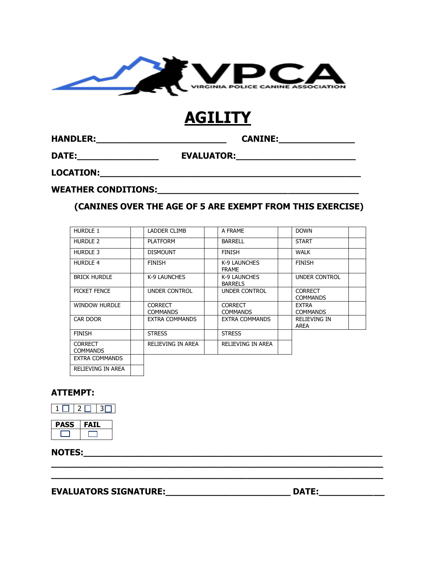

# **AGILITY**

**HANDLER:\_\_\_\_\_\_\_\_\_\_\_\_\_\_\_\_\_\_\_\_\_\_\_\_ CANINE:\_\_\_\_\_\_\_\_\_\_\_\_\_\_**

**DATE:\_\_\_\_\_\_\_\_\_\_\_\_\_\_\_ EVALUATOR:\_\_\_\_\_\_\_\_\_\_\_\_\_\_\_\_\_\_\_\_\_\_**

**LOCATION:\_\_\_\_\_\_\_\_\_\_\_\_\_\_\_\_\_\_\_\_\_\_\_\_\_\_\_\_\_\_\_\_\_\_\_\_\_\_\_\_\_\_\_\_\_\_\_\_**

**WEATHER CONDITIONS:\_\_\_\_\_\_\_\_\_\_\_\_\_\_\_\_\_\_\_\_\_\_\_\_\_\_\_\_\_\_\_\_\_\_\_\_\_**

### **(CANINES OVER THE AGE OF 5 ARE EXEMPT FROM THIS EXERCISE)**

| HURDLE 1                          | LADDER CLIMB                      | A FRAME                           | <b>DOWN</b>                       |
|-----------------------------------|-----------------------------------|-----------------------------------|-----------------------------------|
| HURDLE 2                          | <b>PLATFORM</b>                   | <b>BARRELL</b>                    | <b>START</b>                      |
| HURDLE 3                          | <b>DISMOUNT</b>                   | <b>FINISH</b>                     | <b>WALK</b>                       |
| <b>HURDLE 4</b>                   | <b>FINISH</b>                     | K-9 LAUNCHES<br><b>FRAME</b>      | <b>FINISH</b>                     |
| <b>BRICK HURDLE</b>               | K-9 LAUNCHES                      | K-9 LAUNCHES<br><b>BARRELS</b>    | <b>UNDER CONTROL</b>              |
| PICKET FENCE                      | UNDER CONTROL                     | UNDER CONTROL                     | <b>CORRECT</b><br><b>COMMANDS</b> |
| <b>WINDOW HURDLE</b>              | <b>CORRECT</b><br><b>COMMANDS</b> | <b>CORRECT</b><br><b>COMMANDS</b> | <b>EXTRA</b><br><b>COMMANDS</b>   |
| CAR DOOR                          | EXTRA COMMANDS                    | EXTRA COMMANDS                    | <b>RELIEVING IN</b><br>AREA       |
| <b>FINISH</b>                     | <b>STRESS</b>                     | <b>STRESS</b>                     |                                   |
| <b>CORRECT</b><br><b>COMMANDS</b> | RELIEVING IN AREA                 | RELIEVING IN AREA                 |                                   |
| EXTRA COMMANDS                    |                                   |                                   |                                   |
| <b>RELIEVING IN AREA</b>          |                                   |                                   |                                   |

**\_\_\_\_\_\_\_\_\_\_\_\_\_\_\_\_\_\_\_\_\_\_\_\_\_\_\_\_\_\_\_\_\_\_\_\_\_\_\_\_\_\_\_\_\_\_\_\_\_\_\_\_\_\_\_\_\_\_\_\_\_ \_\_\_\_\_\_\_\_\_\_\_\_\_\_\_\_\_\_\_\_\_\_\_\_\_\_\_\_\_\_\_\_\_\_\_\_\_\_\_\_\_\_\_\_\_\_\_\_\_\_\_\_\_\_\_\_\_\_\_\_\_**

### **ATTEMPT:**



**PASS FAIL** 

**NOTES:** 

### **EVALUATORS SIGNATURE:\_\_\_\_\_\_\_\_\_\_\_\_\_\_\_\_\_\_\_\_\_\_\_ DATE:\_\_\_\_\_\_\_\_\_\_\_\_**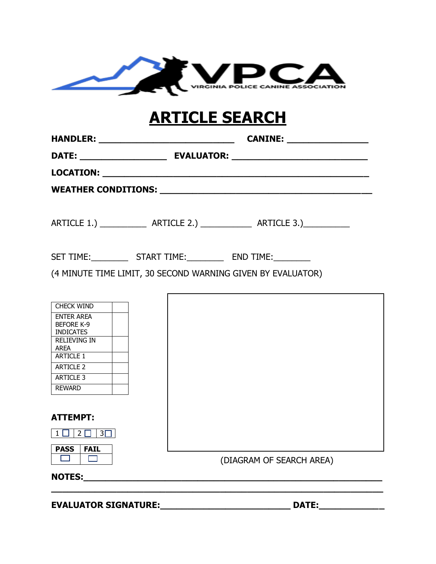

# **ARTICLE SEARCH**

|                                        | (4 MINUTE TIME LIMIT, 30 SECOND WARNING GIVEN BY EVALUATOR) |
|----------------------------------------|-------------------------------------------------------------|
|                                        |                                                             |
| <b>CHECK WIND</b>                      |                                                             |
| <b>ENTER AREA</b><br><b>BEFORE K-9</b> |                                                             |
| <b>INDICATES</b><br>$\Gamma$           |                                                             |

RELIEVING IN AREA ARTICLE 1 ARTICLE 2 ARTICLE 3 REWARD **ATTEMPT:**  $1$   $2$   $3$   $3$ **PASS FAIL**  $\overline{\phantom{a}}$  (DIAGRAM OF SEARCH AREA)  $NOTES:$ **\_\_\_\_\_\_\_\_\_\_\_\_\_\_\_\_\_\_\_\_\_\_\_\_\_\_\_\_\_\_\_\_\_\_\_\_\_\_\_\_\_\_\_\_\_\_\_\_\_\_\_\_\_\_\_\_\_\_\_\_\_**

**EVALUATOR SIGNATURE:\_\_\_\_\_\_\_\_\_\_\_\_\_\_\_\_\_\_\_\_\_\_\_\_ DATE:\_\_\_\_\_\_\_\_\_\_\_\_**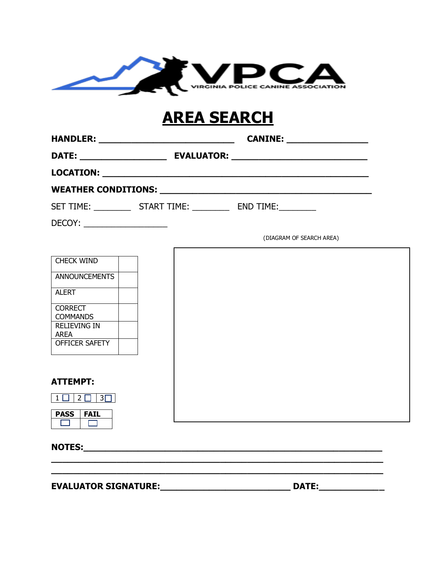

# **AREA SEARCH**

|                                    | SET TIME: _________________ START TIME: _______________ END TIME: ______________ |                          |
|------------------------------------|----------------------------------------------------------------------------------|--------------------------|
| DECOY:                             |                                                                                  |                          |
|                                    |                                                                                  | (DIAGRAM OF SEARCH AREA) |
| CHECK WIND                         |                                                                                  |                          |
| <b>ANNOUNCEMENTS</b>               |                                                                                  |                          |
| ALERT                              |                                                                                  |                          |
| <b>CORRECT</b><br><b>COMMANDS</b>  |                                                                                  |                          |
| <b>RELIEVING IN</b><br><b>AREA</b> |                                                                                  |                          |
| OFFICER SAFETY                     |                                                                                  |                          |
|                                    |                                                                                  |                          |
| <b>ATTEMPT:</b>                    |                                                                                  |                          |
| $1$ $\Box$ $2$ $\Box$ $3$ $\Box$   |                                                                                  |                          |
| <b>PASS</b><br><b>FAIL</b><br>ш    |                                                                                  |                          |

**\_\_\_\_\_\_\_\_\_\_\_\_\_\_\_\_\_\_\_\_\_\_\_\_\_\_\_\_\_\_\_\_\_\_\_\_\_\_\_\_\_\_\_\_\_\_\_\_\_\_\_\_\_\_\_\_\_\_\_\_\_**

**NOTES:\_\_\_\_\_\_\_\_\_\_\_\_\_\_\_\_\_\_\_\_\_\_\_\_\_\_\_\_\_\_\_\_\_\_\_\_\_\_\_\_\_\_\_\_\_\_\_\_\_\_\_\_\_\_\_**

**EVALUATOR SIGNATURE:\_\_\_\_\_\_\_\_\_\_\_\_\_\_\_\_\_\_\_\_\_\_\_\_ DATE:\_\_\_\_\_\_\_\_\_\_\_\_**

**\_\_\_\_\_\_\_\_\_\_\_\_\_\_\_\_\_\_\_\_\_\_\_\_\_\_\_\_\_\_\_\_\_\_\_\_\_\_\_\_\_\_\_\_\_\_\_\_\_\_\_\_\_\_\_\_\_\_\_\_\_**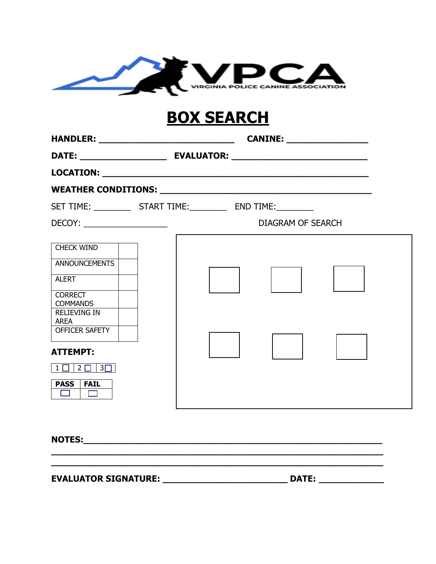

# **BOX SEARCH**

| <b>HANDLER:</b> ________________________________                                                                                                                                                                                                                                              |                          |  |
|-----------------------------------------------------------------------------------------------------------------------------------------------------------------------------------------------------------------------------------------------------------------------------------------------|--------------------------|--|
|                                                                                                                                                                                                                                                                                               |                          |  |
|                                                                                                                                                                                                                                                                                               |                          |  |
|                                                                                                                                                                                                                                                                                               |                          |  |
| SET TIME: ______________________ START TIME: _________________ END TIME: ___________                                                                                                                                                                                                          |                          |  |
|                                                                                                                                                                                                                                                                                               | <b>DIAGRAM OF SEARCH</b> |  |
| <b>CHECK WIND</b><br>ANNOUNCEMENTS<br><b>ALERT</b><br><b>CORRECT</b><br><b>COMMANDS</b><br><b>RELIEVING IN</b><br><b>AREA</b><br>OFFICER SAFETY<br><b>ATTEMPT:</b><br>$\overline{1}$ $\overline{1}$ $\overline{2}$ $\overline{1}$ $\overline{3}$ $\overline{1}$<br><b>PASS</b><br><b>FAIL</b> |                          |  |

**\_\_\_\_\_\_\_\_\_\_\_\_\_\_\_\_\_\_\_\_\_\_\_\_\_\_\_\_\_\_\_\_\_\_\_\_\_\_\_\_\_\_\_\_\_\_\_\_\_\_\_\_\_\_\_\_\_\_\_\_\_**

**NOTES:\_\_\_\_\_\_\_\_\_\_\_\_\_\_\_\_\_\_\_\_\_\_\_\_\_\_\_\_\_\_\_\_\_\_\_\_\_\_\_\_\_\_\_\_\_\_\_\_\_\_\_\_\_\_\_**

**EVALUATOR SIGNATURE: \_\_\_\_\_\_\_\_\_\_\_\_\_\_\_\_\_\_\_\_\_\_\_ DATE: \_\_\_\_\_\_\_\_\_\_\_\_**

**\_\_\_\_\_\_\_\_\_\_\_\_\_\_\_\_\_\_\_\_\_\_\_\_\_\_\_\_\_\_\_\_\_\_\_\_\_\_\_\_\_\_\_\_\_\_\_\_\_\_\_\_\_\_\_\_\_\_\_\_\_**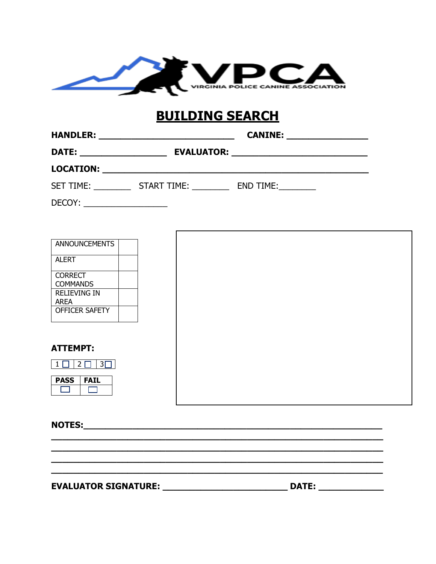

# **BUILDING SEARCH**

| <b>HANDLER:</b>  |                   | <b>CANINE:</b> |  |
|------------------|-------------------|----------------|--|
| <b>DATE:</b>     | <b>EVALUATOR:</b> |                |  |
| <b>LOCATION:</b> |                   |                |  |
| <b>SET TIME:</b> | START TIME:       | END TIME:      |  |

 $DECOY:$ 

| <b>ANNOUNCEMENTS</b>               |  |  |  |
|------------------------------------|--|--|--|
| <b>ALERT</b>                       |  |  |  |
| <b>CORRECT</b><br><b>COMMANDS</b>  |  |  |  |
| <b>RELIEVING IN</b><br><b>AREA</b> |  |  |  |
| OFFICER SAFETY                     |  |  |  |
|                                    |  |  |  |
| <b>ATTEMPT:</b>                    |  |  |  |
| $3\Box$<br>$2\square$<br>$1 \cup$  |  |  |  |
| <b>PASS</b><br><b>FAIL</b>         |  |  |  |
|                                    |  |  |  |

<u> 1989 - Johann Harry Harry Harry Harry Harry Harry Harry Harry Harry Harry Harry Harry Harry Harry Harry Harry</u>

NOTES: NOTES:

EVALUATOR SIGNATURE: \_\_\_\_\_\_\_\_\_\_\_\_\_\_\_\_\_\_\_\_\_\_\_\_\_\_\_\_\_\_\_\_\_\_ D

| <b>DATE:</b> |  |
|--------------|--|
|              |  |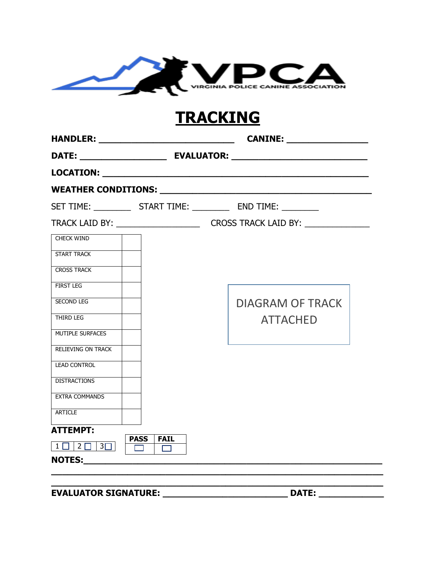

# **TRACKING**

|                                  |                                              | SET TIME: ________________ START TIME: ______________ END TIME: ___________              |
|----------------------------------|----------------------------------------------|------------------------------------------------------------------------------------------|
|                                  |                                              | TRACK LAID BY: __________________________________CROSS TRACK LAID BY: __________________ |
| <b>CHECK WIND</b>                |                                              |                                                                                          |
| <b>START TRACK</b>               |                                              |                                                                                          |
| <b>CROSS TRACK</b>               |                                              |                                                                                          |
| <b>FIRST LEG</b>                 |                                              |                                                                                          |
| SECOND LEG                       |                                              | <b>DIAGRAM OF TRACK</b>                                                                  |
| THIRD LEG                        |                                              | <b>ATTACHED</b>                                                                          |
| MUTIPLE SURFACES                 |                                              |                                                                                          |
| <b>RELIEVING ON TRACK</b>        |                                              |                                                                                          |
| <b>LEAD CONTROL</b>              |                                              |                                                                                          |
| <b>DISTRACTIONS</b>              |                                              |                                                                                          |
| <b>EXTRA COMMANDS</b>            |                                              |                                                                                          |
| ARTICLE                          |                                              |                                                                                          |
| <b>ATTEMPT:</b>                  | <b>PASS</b><br>$\overline{\phantom{a}}$ FAIL |                                                                                          |
| $1$ $\Box$ $2$ $\Box$ $3$ $\Box$ | $\Gamma \Box$<br>$\Box$                      |                                                                                          |
|                                  |                                              |                                                                                          |
|                                  |                                              |                                                                                          |

**EVALUATOR SIGNATURE: \_\_\_\_\_\_\_\_\_\_\_\_\_\_\_\_\_\_\_\_\_\_\_ DATE: \_\_\_\_\_\_\_\_\_\_\_\_**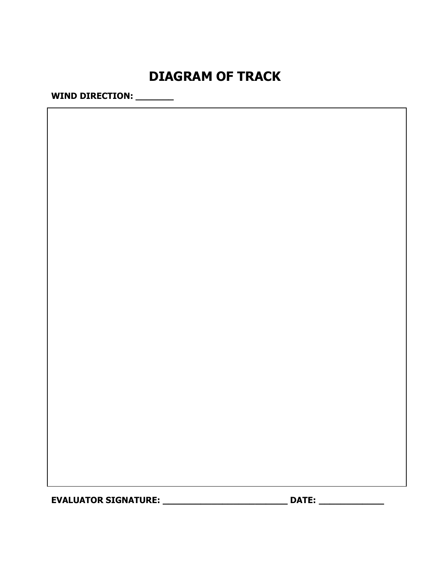# **DIAGRAM OF TRACK**

**WIND DIRECTION: \_\_\_\_\_\_\_**

**EVALUATOR SIGNATURE: \_\_\_\_\_\_\_\_\_\_\_\_\_\_\_\_\_\_\_\_\_\_\_ DATE: \_\_\_\_\_\_\_\_\_\_\_\_**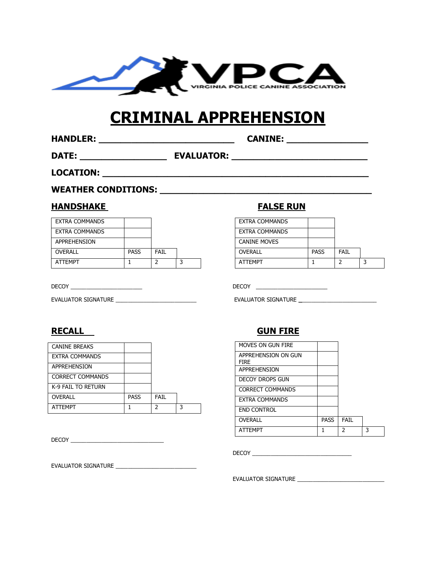

# **CRIMINAL APPREHENSION**

**HANDLER: \_\_\_\_\_\_\_\_\_\_\_\_\_\_\_\_\_\_\_\_\_\_\_\_\_ CANINE: \_\_\_\_\_\_\_\_\_\_\_\_\_\_\_**

**DATE: \_\_\_\_\_\_\_\_\_\_\_\_\_\_\_\_ EVALUATOR: \_\_\_\_\_\_\_\_\_\_\_\_\_\_\_\_\_\_\_\_\_\_\_\_\_**

**LOCATION: \_\_\_\_\_\_\_\_\_\_\_\_\_\_\_\_\_\_\_\_\_\_\_\_\_\_\_\_\_\_\_\_\_\_\_\_\_\_\_\_\_\_\_\_\_\_\_\_\_**

### WEATHER CONDITIONS: **WEATHER**

### **HANDSHAKE FALSE RUN**

| <b>EXTRA COMMANDS</b> |             |      |  |
|-----------------------|-------------|------|--|
| <b>EXTRA COMMANDS</b> |             |      |  |
| APPREHENSION          |             |      |  |
| <b>OVERALL</b>        | <b>PASS</b> | FAIL |  |
| <b>ATTFMPT</b>        |             |      |  |

EVALUATOR SIGNATURE \_\_\_\_\_\_\_\_\_\_\_\_\_\_\_\_\_\_\_\_\_\_\_\_\_\_ EVALUATOR SIGNATURE **\_**\_\_\_\_\_\_\_\_\_\_\_\_\_\_\_\_\_\_\_\_\_\_\_\_

| <b>CANINE BREAKS</b>    |      |      |   |
|-------------------------|------|------|---|
| <b>EXTRA COMMANDS</b>   |      |      |   |
| APPREHENSION            |      |      |   |
| <b>CORRECT COMMANDS</b> |      |      |   |
| K-9 FAIL TO RETURN      |      |      |   |
| <b>OVERALL</b>          | PASS | FAIL |   |
| <b>ATTFMPT</b>          |      | っ    | ર |

DECOY **DECOY** 

EVALUATOR SIGNATURE \_\_\_\_\_\_\_\_\_\_\_\_\_\_\_\_\_\_\_\_\_\_\_\_\_\_

| EXTRA COMMANDS      |             |      |  |
|---------------------|-------------|------|--|
| EXTRA COMMANDS      |             |      |  |
| <b>CANINE MOVES</b> |             |      |  |
| <b>OVERALL</b>      | <b>PASS</b> | FAIL |  |
| <b>ATTFMPT</b>      |             |      |  |

DECOY \_\_\_\_\_\_\_\_\_\_\_\_\_\_\_\_\_\_\_\_\_\_\_ DECOY \_\_\_\_\_\_\_\_\_\_\_\_\_\_\_\_\_\_\_\_\_\_\_

### **RECALL GUN FIRE**

| MOVES ON GUN FIRE                  |             |               |   |
|------------------------------------|-------------|---------------|---|
| APPREHENSION ON GUN<br><b>FIRE</b> |             |               |   |
| <b>APPREHENSION</b>                |             |               |   |
| DECOY DROPS GUN                    |             |               |   |
| <b>CORRECT COMMANDS</b>            |             |               |   |
| EXTRA COMMANDS                     |             |               |   |
| <b>END CONTROL</b>                 |             |               |   |
| <b>OVERALL</b>                     | <b>PASS</b> | <b>FAIL</b>   |   |
| <b>ATTFMPT</b>                     |             | $\mathfrak z$ | 3 |

 $DECOY$   $\qquad$ 

EVALUATOR SIGNATURE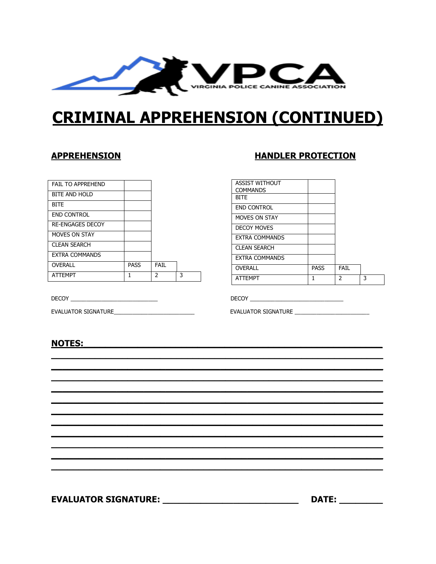

# **CRIMINAL APPREHENSION (CONTINUED)**

### **APPREHENSION**

| <b>FAIL TO APPREHEND</b> |             |               |   |
|--------------------------|-------------|---------------|---|
| <b>BITE AND HOLD</b>     |             |               |   |
| <b>BITE</b>              |             |               |   |
| <b>END CONTROL</b>       |             |               |   |
| <b>RE-ENGAGES DECOY</b>  |             |               |   |
| MOVES ON STAY            |             |               |   |
| <b>CLEAN SEARCH</b>      |             |               |   |
| <b>EXTRA COMMANDS</b>    |             |               |   |
| <b>OVERALL</b>           | <b>PASS</b> | <b>FAIL</b>   |   |
| <b>ATTEMPT</b>           | 1           | $\mathcal{P}$ | 3 |

DECOY <u>Andrea Barbara and Barbara and Barbara and Barbara and Barbara and Barbara and Barbara and Barbara and Barbara and Barbara and Barbara and Barbara and Barbara and Barbara and Barbara and Barbara and Barbara and Barb</u>

EVALUATOR SIGNATURE

### **HANDLER PROTECTION**

| <b>ASSIST WITHOUT</b> |             |               |   |
|-----------------------|-------------|---------------|---|
| <b>COMMANDS</b>       |             |               |   |
| <b>BITE</b>           |             |               |   |
| <b>END CONTROL</b>    |             |               |   |
| <b>MOVES ON STAY</b>  |             |               |   |
| <b>DECOY MOVES</b>    |             |               |   |
| <b>EXTRA COMMANDS</b> |             |               |   |
| <b>CLEAN SEARCH</b>   |             |               |   |
| <b>EXTRA COMMANDS</b> |             |               |   |
| OVERALL               | <b>PASS</b> | FAIL          |   |
| <b>ATTEMPT</b>        | 1           | $\mathcal{P}$ | 3 |

DECOY \_\_\_\_\_\_\_\_\_\_\_\_

EVALUATOR SIGNATURE \_\_\_\_\_\_\_\_\_\_\_\_\_\_\_\_\_\_\_\_

### **NOTES:**

EVALUATOR SIGNATURE: \_\_\_\_\_\_\_\_\_\_\_\_\_\_\_\_\_\_\_\_\_\_\_\_\_\_\_\_\_\_\_\_\_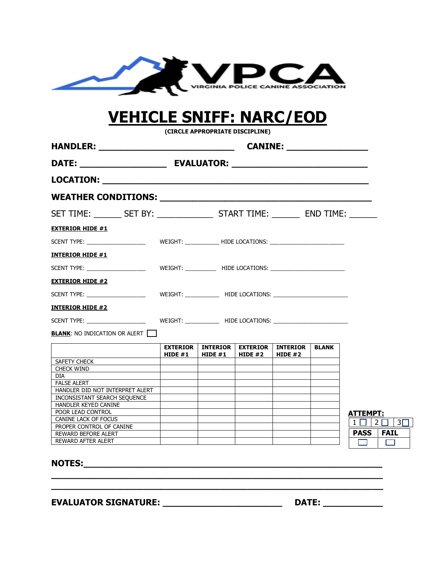

# **VEHICLE SNIFF: NARC/EOD**

**(CIRCLE APPROPRIATE DISCIPLINE)**

| SET TIME: ________ SET BY: ________________ START TIME: ________ END TIME: ______ |                              |                              |                              |                              |              |                            |
|-----------------------------------------------------------------------------------|------------------------------|------------------------------|------------------------------|------------------------------|--------------|----------------------------|
| <b>EXTERIOR HIDE #1</b>                                                           |                              |                              |                              |                              |              |                            |
|                                                                                   |                              |                              |                              |                              |              |                            |
| <b>INTERIOR HIDE #1</b>                                                           |                              |                              |                              |                              |              |                            |
|                                                                                   |                              |                              |                              |                              |              |                            |
| <b>EXTERIOR HIDE #2</b>                                                           |                              |                              |                              |                              |              |                            |
|                                                                                   |                              |                              |                              |                              |              |                            |
| <b>INTERIOR HIDE #2</b>                                                           |                              |                              |                              |                              |              |                            |
|                                                                                   |                              |                              |                              |                              |              |                            |
| <b>BLANK: NO INDICATION OR ALERT</b>                                              |                              |                              |                              |                              |              |                            |
|                                                                                   |                              |                              |                              |                              |              |                            |
|                                                                                   | <b>EXTERIOR</b><br>HIDE $#1$ | <b>INTERIOR</b><br>HIDE $#1$ | <b>EXTERIOR</b><br>HIDE $#2$ | <b>INTERIOR</b><br>HIDE $#2$ | <b>BLANK</b> |                            |
| SAFETY CHECK                                                                      |                              |                              |                              |                              |              |                            |
|                                                                                   |                              |                              |                              |                              |              |                            |
|                                                                                   |                              |                              |                              |                              |              |                            |
| CHECK WIND<br><b>DIA</b>                                                          |                              |                              |                              |                              |              |                            |
| <b>FALSE ALERT</b>                                                                |                              |                              |                              |                              |              |                            |
| HANDLER DID NOT INTERPRET ALERT                                                   |                              |                              |                              |                              |              |                            |
| INCONSISTANT SEARCH SEOUENCE                                                      |                              |                              |                              |                              |              |                            |
| HANDLER KEYED CANINE                                                              |                              |                              |                              |                              |              |                            |
| POOR LEAD CONTROL                                                                 |                              |                              |                              |                              |              |                            |
| CANINE LACK OF FOCUS                                                              |                              |                              |                              |                              |              | <u>ATTEMPT:</u>            |
| PROPER CONTROL OF CANINE                                                          |                              |                              |                              |                              |              | $1 \Box 1 2 \Box$          |
| <b>REWARD BEFORE ALERT</b>                                                        |                              |                              |                              |                              |              | <b>PASS</b><br><b>FAIL</b> |

**\_\_\_\_\_\_\_\_\_\_\_\_\_\_\_\_\_\_\_\_\_\_\_\_\_\_\_\_\_\_\_\_\_\_\_\_\_\_\_\_\_\_\_\_\_\_\_\_\_\_\_\_\_\_\_\_\_\_\_\_\_ \_\_\_\_\_\_\_\_\_\_\_\_\_\_\_\_\_\_\_\_\_\_\_\_\_\_\_\_\_\_\_\_\_\_\_\_\_\_\_\_\_\_\_\_\_\_\_\_\_\_\_\_\_\_\_\_\_\_\_\_\_**

**EVALUATOR SIGNATURE: \_\_\_\_\_\_\_\_\_\_\_\_\_\_\_\_\_\_\_\_\_\_ DATE: \_\_\_\_\_\_\_\_\_\_\_**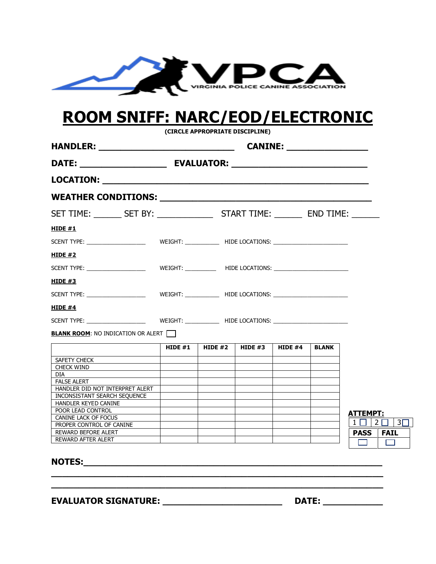

# **ROOM SNIFF: NARC/EOD/ELECTRONIC**

**(CIRCLE APPROPRIATE DISCIPLINE)**

| SET TIME: ________ SET BY: _________________ START TIME: ________ END TIME: ______ |  |                                                                     |  |  |              |                                 |
|------------------------------------------------------------------------------------|--|---------------------------------------------------------------------|--|--|--------------|---------------------------------|
| <b>HIDE #1</b>                                                                     |  |                                                                     |  |  |              |                                 |
|                                                                                    |  |                                                                     |  |  |              |                                 |
| HIDE $#2$                                                                          |  |                                                                     |  |  |              |                                 |
|                                                                                    |  |                                                                     |  |  |              |                                 |
| HIDE $#3$                                                                          |  |                                                                     |  |  |              |                                 |
|                                                                                    |  |                                                                     |  |  |              |                                 |
| HIDE $#4$                                                                          |  |                                                                     |  |  |              |                                 |
|                                                                                    |  |                                                                     |  |  |              |                                 |
|                                                                                    |  |                                                                     |  |  |              |                                 |
|                                                                                    |  |                                                                     |  |  |              |                                 |
| <b>BLANK ROOM:</b> NO INDICATION OR ALERT                                          |  | HIDE #1 $\parallel$ HIDE #2 $\parallel$ HIDE #3 $\parallel$ HIDE #4 |  |  | <b>BLANK</b> |                                 |
| SAFETY CHECK                                                                       |  |                                                                     |  |  |              |                                 |
| CHECK WIND                                                                         |  |                                                                     |  |  |              |                                 |
| DIA                                                                                |  |                                                                     |  |  |              |                                 |
| FALSE ALERT                                                                        |  |                                                                     |  |  |              |                                 |
| HANDLER DID NOT INTERPRET ALERT                                                    |  |                                                                     |  |  |              |                                 |
| INCONSISTANT SEARCH SEQUENCE                                                       |  |                                                                     |  |  |              |                                 |
| HANDLER KEYED CANINE<br>POOR LEAD CONTROL                                          |  |                                                                     |  |  |              |                                 |
| CANINE LACK OF FOCUS                                                               |  |                                                                     |  |  |              | ATTEMPT:                        |
| PROPER CONTROL OF CANINE                                                           |  |                                                                     |  |  |              | $1 \square$   $2 \square$   $3$ |
| <b>REWARD BEFORE ALERT</b><br><b>REWARD AFTER ALERT</b>                            |  |                                                                     |  |  |              | <b>PASS FAIL</b>                |

**EVALUATOR SIGNATURE: \_\_\_\_\_\_\_\_\_\_\_\_\_\_\_\_\_\_\_\_\_\_ DATE: \_\_\_\_\_\_\_\_\_\_\_**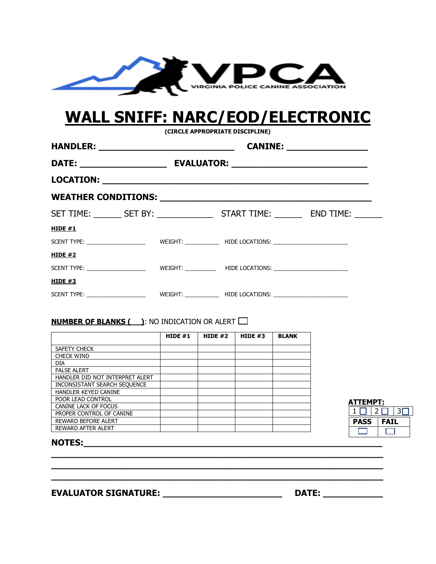

# **WALL SNIFF: NARC/EOD/ELECTRONIC**

**(CIRCLE APPROPRIATE DISCIPLINE)**

| HANDLER: ________________________________                                          | CANINE: __________________ |  |
|------------------------------------------------------------------------------------|----------------------------|--|
|                                                                                    |                            |  |
|                                                                                    |                            |  |
|                                                                                    |                            |  |
| SET TIME: ________ SET BY: _________________ START TIME: ________ END TIME: ______ |                            |  |
| <b>HIDE #1</b>                                                                     |                            |  |
|                                                                                    |                            |  |
| <u>HIDE #2</u>                                                                     |                            |  |
|                                                                                    |                            |  |
| <b>HIDE #3</b>                                                                     |                            |  |
|                                                                                    |                            |  |

### **NUMBER OF BLANKS ( ): NO INDICATION OR ALERT**  $\Box$

|                                 | HIDE $#1$ | HIDE $#2$ | HIDE $#3$ | <b>BLANK</b> |
|---------------------------------|-----------|-----------|-----------|--------------|
| SAFETY CHECK                    |           |           |           |              |
| <b>CHECK WIND</b>               |           |           |           |              |
| <b>DIA</b>                      |           |           |           |              |
| <b>FALSE ALERT</b>              |           |           |           |              |
| HANDLER DID NOT INTERPRET ALERT |           |           |           |              |
| INCONSISTANT SEARCH SEQUENCE    |           |           |           |              |
| HANDLER KEYED CANINE            |           |           |           |              |
| POOR LEAD CONTROL               |           |           |           |              |
| CANINE LACK OF FOCUS            |           |           |           |              |
| PROPER CONTROL OF CANINE        |           |           |           |              |
| <b>REWARD BEFORE ALERT</b>      |           |           |           |              |
| <b>REWARD AFTER ALERT</b>       |           |           |           |              |

**\_\_\_\_\_\_\_\_\_\_\_\_\_\_\_\_\_\_\_\_\_\_\_\_\_\_\_\_\_\_\_\_\_\_\_\_\_\_\_\_\_\_\_\_\_\_\_\_\_\_\_\_\_\_\_\_\_\_\_\_\_ \_\_\_\_\_\_\_\_\_\_\_\_\_\_\_\_\_\_\_\_\_\_\_\_\_\_\_\_\_\_\_\_\_\_\_\_\_\_\_\_\_\_\_\_\_\_\_\_\_\_\_\_\_\_\_\_\_\_\_\_\_ \_\_\_\_\_\_\_\_\_\_\_\_\_\_\_\_\_\_\_\_\_\_\_\_\_\_\_\_\_\_\_\_\_\_\_\_\_\_\_\_\_\_\_\_\_\_\_\_\_\_\_\_\_\_\_\_\_\_\_\_\_**

| ATTEMPT: |             |  |     |  |  |
|----------|-------------|--|-----|--|--|
|          |             |  |     |  |  |
|          | <b>PASS</b> |  | FA) |  |  |
|          |             |  |     |  |  |

### **NOTES:**

### **EVALUATOR SIGNATURE: \_\_\_\_\_\_\_\_\_\_\_\_\_\_\_\_\_\_\_\_\_\_ DATE: \_\_\_\_\_\_\_\_\_\_\_**

| <b>DATE:</b> |  |  |  |  |  |  |
|--------------|--|--|--|--|--|--|
|              |  |  |  |  |  |  |